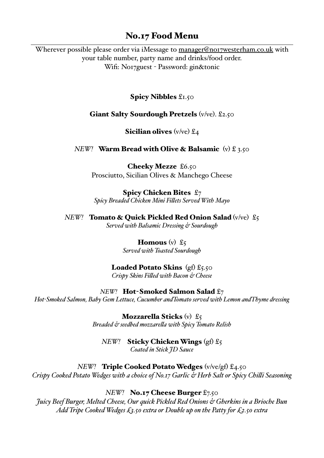# No.17 Food Menu

Wherever possible please order via iMessage to [manager@no17westerham.co.uk](mailto:manager@no17westerham.co.uk) with your table number, party name and drinks/food order. Wifi: No17guest - Password: gin&tonic

## Spicy Nibbles £1.50

## Giant Salty Sourdough Pretzels (v/ve). £2.50

### **Sicilian olives** (v/ve)  $\mathfrak{L}_4$

## *NEW!* Warm Bread with Olive & Balsamic (v) £ 3.50

Cheeky Mezze £6.50 Prosciutto, Sicilian Olives & Manchego Cheese

Spicy Chicken Bites £7 *Spicy Breaded Chicken Mini Filets Served With Mayo* 

*NEW!* **Tomato & Ouick Pickled Red Onion Salad** (v/ve) £5 *Served with Balsamic Dressing & Sourdough*

> **Homous** (v)  $\mathfrak{L}_{5}$ *Served with Toasted Sourdough*

# **Loaded Potato Skins** (gf)  $\mathfrak{L}_{5.50}$

*Crispy Skins Filed with Bacon & Cheese* 

### *NEW!* **Hot-Smoked Salmon Salad £7**

*Hot-Smoked Salmon, Baby Gem Lettuce, Cucumber andTomato served with Lemon andThyme dressing*

**Mozzarella Sticks** (v)  $\mathfrak{L}_5$ *Breaded & seedbed mozzarela with Spicy Tomato Relish* 

# *NEW!* Sticky Chicken Wings (gf) £5

*Coated in Stick JD Sauce* 

# *NEW!* **Triple Cooked Potato Wedges** (v/ve/gf) £4.50

*Crispy Cooked Potato Wedges with a choice of No.17 Garlic & Herb Salt or Spicy Chili Seasoning*

### *NEW!* **No.17 Cheese Burger** £7.50

*Juicy Beef Burger, Melted Cheese, Our quick Pickled Red Onions & Gherkins in a Brioche Bun Add Tripe Cooked Wedges £3.50 extra or Double up on the Patty for £2.50 extra*